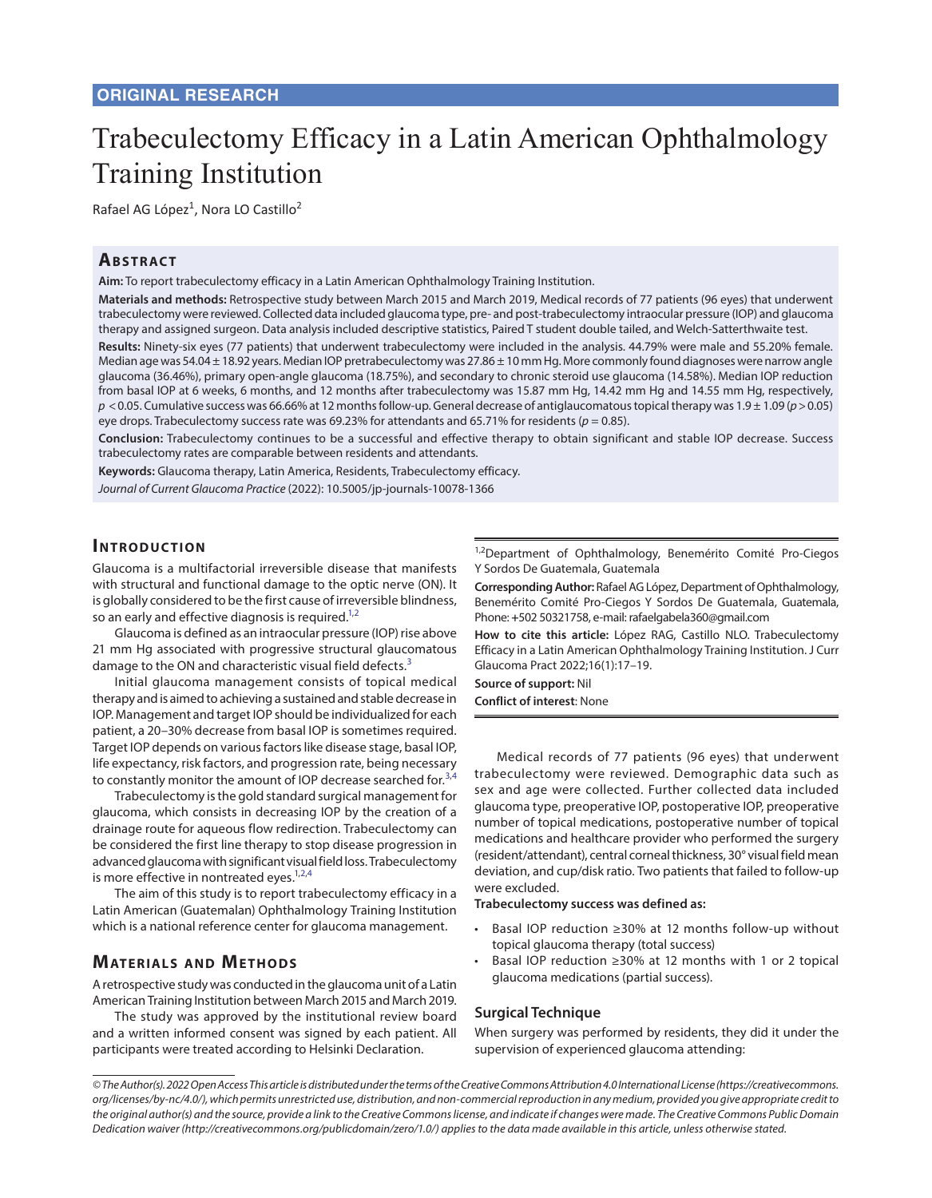# Trabeculectomy Efficacy in a Latin American Ophthalmology Training Institution

Rafael AG López<sup>1</sup>, Nora LO Castillo<sup>2</sup>

### **ABSTRACT**

**Aim:** To report trabeculectomy efficacy in a Latin American Ophthalmology Training Institution.

**Materials and methods:** Retrospective study between March 2015 and March 2019, Medical records of 77 patients (96 eyes) that underwent trabeculectomy were reviewed. Collected data included glaucoma type, pre- and post-trabeculectomy intraocular pressure (IOP) and glaucoma therapy and assigned surgeon. Data analysis included descriptive statistics, Paired T student double tailed, and Welch-Satterthwaite test.

**Results:** Ninety-six eyes (77 patients) that underwent trabeculectomy were included in the analysis. 44.79% were male and 55.20% female. Median age was 54.04 ± 18.92 years. Median IOP pretrabeculectomy was 27.86 ± 10 mm Hg. More commonly found diagnoses were narrow angle glaucoma (36.46%), primary open-angle glaucoma (18.75%), and secondary to chronic steroid use glaucoma (14.58%). Median IOP reduction from basal IOP at 6 weeks, 6 months, and 12 months after trabeculectomy was 15.87 mm Hg, 14.42 mm Hg and 14.55 mm Hg, respectively, *p* <0.05. Cumulative success was 66.66% at 12 months follow-up. General decrease of antiglaucomatous topical therapy was 1.9 ± 1.09 (*p*>0.05) eye drops. Trabeculectomy success rate was 69.23% for attendants and 65.71% for residents ( $p = 0.85$ ).

**Conclusion:** Trabeculectomy continues to be a successful and effective therapy to obtain significant and stable IOP decrease. Success trabeculectomy rates are comparable between residents and attendants.

**Keywords:** Glaucoma therapy, Latin America, Residents, Trabeculectomy efficacy. *Journal of Current Glaucoma Practice* (2022): 10.5005/jp-journals-10078-1366

## **INTRODUCTION**

Glaucoma is a multifactorial irreversible disease that manifests with structural and functional damage to the optic nerve (ON). It is globally considered to be the first cause of irreversible blindness, so an early and effective diagnosis is required.<sup>1,[2](#page-2-1)</sup>

Glaucoma is defined as an intraocular pressure (IOP) rise above 21 mm Hg associated with progressive structural glaucomatous damage to the ON and characteristic visual field defects.<sup>[3](#page-2-2)</sup>

Initial glaucoma management consists of topical medical therapy and is aimed to achieving a sustained and stable decrease in IOP. Management and target IOP should be individualized for each patient, a 20–30% decrease from basal IOP is sometimes required. Target IOP depends on various factors like disease stage, basal IOP, life expectancy, risk factors, and progression rate, being necessary to constantly monitor the amount of IOP decrease searched for.<sup>[3](#page-2-2)[,4](#page-2-3)</sup>

Trabeculectomy is the gold standard surgical management for glaucoma, which consists in decreasing IOP by the creation of a drainage route for aqueous flow redirection. Trabeculectomy can be considered the first line therapy to stop disease progression in advanced glaucoma with significant visual field loss. Trabeculectomy is more effective in nontreated eyes. $1,2,4$  $1,2,4$  $1,2,4$  $1,2,4$ 

The aim of this study is to report trabeculectomy efficacy in a Latin American (Guatemalan) Ophthalmology Training Institution which is a national reference center for glaucoma management.

# **MATERIALS AND METHODS**

A retrospective study was conducted in the glaucoma unit of a Latin American Training Institution between March 2015 and March 2019.

The study was approved by the institutional review board and a written informed consent was signed by each patient. All participants were treated according to Helsinki Declaration.

<sup>1,2</sup>Department of Ophthalmology, Benemérito Comité Pro-Ciegos Y Sordos De Guatemala, Guatemala

**Corresponding Author:** Rafael AG López, Department of Ophthalmology, Benemérito Comité Pro-Ciegos Y Sordos De Guatemala, Guatemala, Phone: **+**502 50321758, e-mail: rafaelgabela360@gmail.com

<span id="page-0-1"></span><span id="page-0-0"></span>**How to cite this article:** López RAG, Castillo NLO. Trabeculectomy Efficacy in a Latin American Ophthalmology Training Institution. J Curr Glaucoma Pract 2022;16(1):17–19.

<span id="page-0-2"></span>**Source of support:** Nil **Conflict of interest**: None

<span id="page-0-3"></span>Medical records of 77 patients (96 eyes) that underwent trabeculectomy were reviewed. Demographic data such as sex and age were collected. Further collected data included glaucoma type, preoperative IOP, postoperative IOP, preoperative number of topical medications, postoperative number of topical medications and healthcare provider who performed the surgery (resident/attendant), central corneal thickness, 30° visual field mean deviation, and cup/disk ratio. Two patients that failed to follow-up

**Trabeculectomy success was defined as:**

- Basal IOP reduction ≥30% at 12 months follow-up without topical glaucoma therapy (total success)
- Basal IOP reduction ≥30% at 12 months with 1 or 2 topical glaucoma medications (partial success).

#### **Surgical Technique**

were excluded.

When surgery was performed by residents, they did it under the supervision of experienced glaucoma attending:

*<sup>©</sup> The Author(s). 2022 Open Access This article is distributed under the terms of the Creative Commons Attribution 4.0 International License (https://creativecommons. org/licenses/by-nc/4.0/), which permits unrestricted use, distribution, and non-commercial reproduction in any medium, provided you give appropriate credit to the original author(s) and the source, provide a link to the Creative Commons license, and indicate if changes were made. The Creative Commons Public Domain Dedication waiver (http://creativecommons.org/publicdomain/zero/1.0/) applies to the data made available in this article, unless otherwise stated.*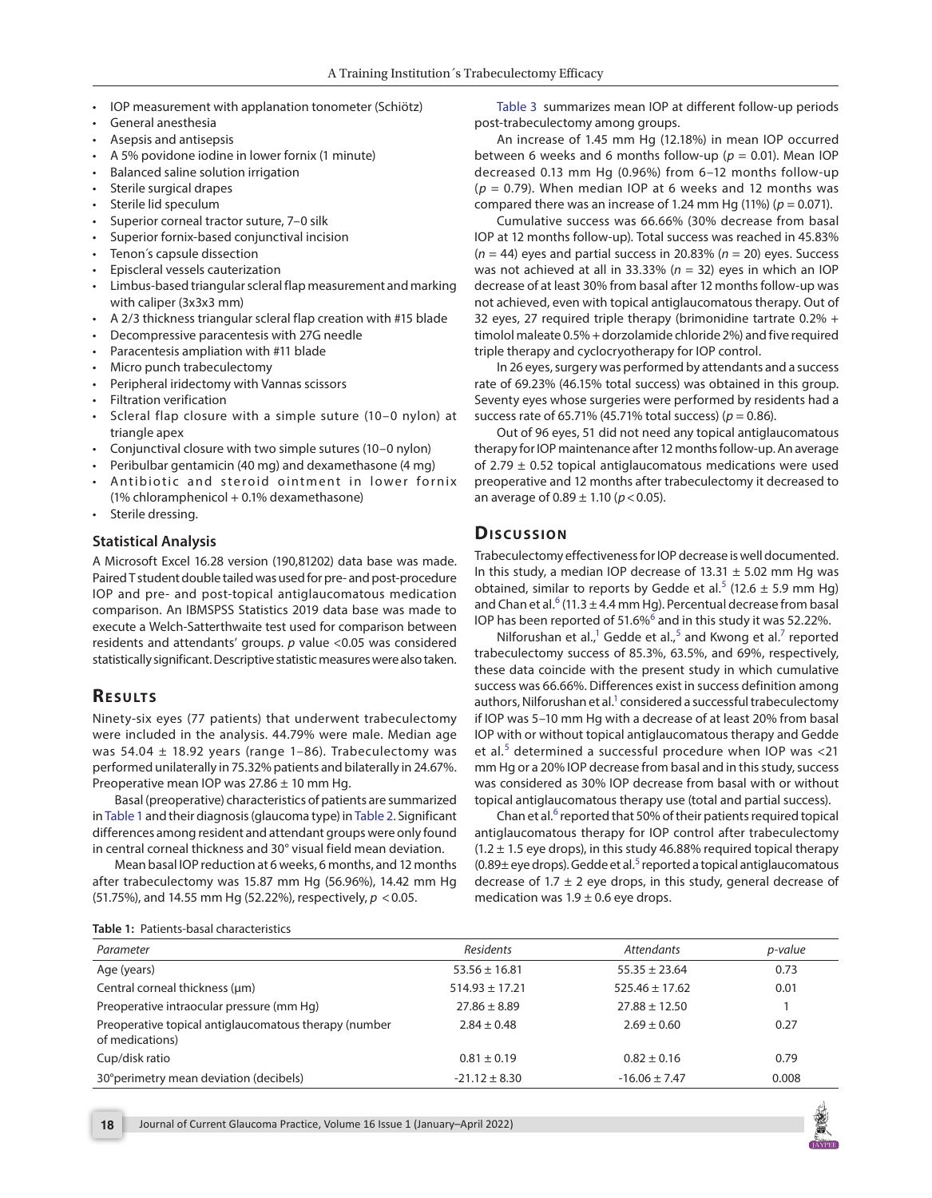- IOP measurement with applanation tonometer (Schiötz)
- General anesthesia
- Asepsis and antisepsis
- A 5% povidone iodine in lower fornix (1 minute)
- Balanced saline solution irrigation
- Sterile surgical drapes
- Sterile lid speculum
- Superior corneal tractor suture, 7–0 silk
- Superior fornix-based conjunctival incision
- Tenon's capsule dissection
- Episcleral vessels cauterization
- Limbus-based triangular scleral flap measurement and marking with caliper (3x3x3 mm)
- A 2/3 thickness triangular scleral flap creation with #15 blade
- Decompressive paracentesis with 27G needle
- Paracentesis ampliation with #11 blade
- Micro punch trabeculectomy
- Peripheral iridectomy with Vannas scissors
- Filtration verification
- Scleral flap closure with a simple suture (10–0 nylon) at triangle apex
- Conjunctival closure with two simple sutures (10–0 nylon)
- Peribulbar gentamicin (40 mg) and dexamethasone (4 mg)
- Antibiotic and steroid ointment in lower fornix (1% chloramphenicol + 0.1% dexamethasone)
- Sterile dressing.

#### **Statistical Analysis**

A Microsoft Excel 16.28 version (190,81202) data base was made. Paired T student double tailed was used for pre- and post-procedure IOP and pre- and post-topical antiglaucomatous medication comparison. An IBMSPSS Statistics 2019 data base was made to execute a Welch-Satterthwaite test used for comparison between residents and attendants' groups. *p* value <0.05 was considered statistically significant. Descriptive statistic measures were also taken.

#### **Re s u lts**

Ninety-six eyes (77 patients) that underwent trabeculectomy were included in the analysis. 44.79% were male. Median age was 54.04  $\pm$  18.92 years (range 1-86). Trabeculectomy was performed unilaterally in 75.32% patients and bilaterally in 24.67%. Preoperative mean IOP was  $27.86 \pm 10$  mm Hg.

<span id="page-1-1"></span>Basal (preoperative) characteristics of patients are summarized in [Table 1](#page-1-0) and their diagnosis (glaucoma type) in [Table 2.](#page-2-8) Significant differences among resident and attendant groups were only found in central corneal thickness and 30° visual field mean deviation.

Mean basal IOP reduction at 6 weeks, 6 months, and 12 months after trabeculectomy was 15.87 mm Hg (56.96%), 14.42 mm Hg (51.75%), and 14.55 mm Hg (52.22%), respectively, *p* <0.05.

<span id="page-1-6"></span>[Table 3](#page-2-4) summarizes mean IOP at different follow-up periods post-trabeculectomy among groups.

An increase of 1.45 mm Hg (12.18%) in mean IOP occurred between 6 weeks and 6 months follow-up  $(p = 0.01)$ . Mean IOP decreased 0.13 mm Hg (0.96%) from 6–12 months follow-up (*p* = 0.79). When median IOP at 6 weeks and 12 months was compared there was an increase of 1.24 mm Hg  $(11%)$   $(p = 0.071)$ .

Cumulative success was 66.66% (30% decrease from basal IOP at 12 months follow-up). Total success was reached in 45.83% (*n* = 44) eyes and partial success in 20.83% (*n* = 20) eyes. Success was not achieved at all in 33.33% (*n* = 32) eyes in which an IOP decrease of at least 30% from basal after 12 months follow-up was not achieved, even with topical antiglaucomatous therapy. Out of 32 eyes, 27 required triple therapy (brimonidine tartrate 0.2% + timolol maleate 0.5% + dorzolamide chloride 2%) and five required triple therapy and cyclocryotherapy for IOP control.

In 26 eyes, surgery was performed by attendants and a success rate of 69.23% (46.15% total success) was obtained in this group. Seventy eyes whose surgeries were performed by residents had a success rate of 65.71% (45.71% total success) (*p* = 0.86).

Out of 96 eyes, 51 did not need any topical antiglaucomatous therapy for IOP maintenance after 12 months follow-up. An average of 2.79  $\pm$  0.52 topical antiglaucomatous medications were used preoperative and 12 months after trabeculectomy it decreased to an average of  $0.89 \pm 1.10$  ( $p < 0.05$ ).

#### **Dis c u s sio n**

<span id="page-1-2"></span>Trabeculectomy effectiveness for IOP decrease is well documented. In this study, a median IOP decrease of  $13.31 \pm 5.02$  mm Hg was obtained, similar to reports by Gedde et al.<sup>[5](#page-2-5)</sup> (12.6  $\pm$  5.9 mm Hg) and Chan et al. $6$  (11.3 ± 4.4 mm Hg). Percentual decrease from basal IOP has been reported of 51.[6](#page-2-6)%<sup>6</sup> and in this study it was 52.22%.

<span id="page-1-4"></span><span id="page-1-3"></span>Nilforushan et al., $1 \text{ Gedde et al.}$ , and Kwong et al. $7 \text{ reported}$ trabeculectomy success of 85.3%, 63.5%, and 69%, respectively, these data coincide with the present study in which cumulative success was 66.66%. Differences exist in success definition among authors, Nilforushan et al.<sup>1</sup> considered a successful trabeculectomy if IOP was 5–10 mm Hg with a decrease of at least 20% from basal IOP with or without topical antiglaucomatous therapy and Gedde et al.<sup>[5](#page-2-5)</sup> determined a successful procedure when IOP was <21 mm Hg or a 20% IOP decrease from basal and in this study, success was considered as 30% IOP decrease from basal with or without topical antiglaucomatous therapy use (total and partial success).

<span id="page-1-5"></span>Chan et al.<sup>[6](#page-2-6)</sup> reported that 50% of their patients required topical antiglaucomatous therapy for IOP control after trabeculectomy  $(1.2 \pm 1.5$  eye drops), in this study 46.88% required topical therapy  $(0.89\pm$  eye drops). Gedde et al.<sup>[5](#page-2-5)</sup> reported a topical antiglaucomatous decrease of 1.7  $\pm$  2 eye drops, in this study, general decrease of medication was  $1.9 \pm 0.6$  eye drops.

<span id="page-1-0"></span>**[Table 1:](#page-1-1)** Patients-basal characteristics

| Parameter                                                                | <b>Residents</b>   | <b>Attendants</b>  | p-value |
|--------------------------------------------------------------------------|--------------------|--------------------|---------|
| Age (years)                                                              | $53.56 \pm 16.81$  | $55.35 \pm 23.64$  | 0.73    |
| Central corneal thickness (µm)                                           | $514.93 \pm 17.21$ | $525.46 \pm 17.62$ | 0.01    |
| Preoperative intraocular pressure (mm Hq)                                | $27.86 \pm 8.89$   | $27.88 \pm 12.50$  |         |
| Preoperative topical antiglaucomatous therapy (number<br>of medications) | $2.84 \pm 0.48$    | $2.69 \pm 0.60$    | 0.27    |
| Cup/disk ratio                                                           | $0.81 \pm 0.19$    | $0.82 \pm 0.16$    | 0.79    |
| 30° perimetry mean deviation (decibels)                                  | $-21.12 \pm 8.30$  | $-16.06 \pm 7.47$  | 0.008   |